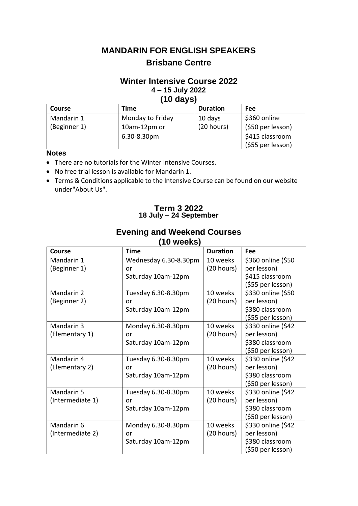# **MANDARIN FOR ENGLISH SPEAKERS Brisbane Centre**

### **Winter Intensive Course 2022 4 – 15 July 2022 (10 days)**

| .             |                  |                 |                   |  |  |
|---------------|------------------|-----------------|-------------------|--|--|
| <b>Course</b> | Time             | <b>Duration</b> | <b>Fee</b>        |  |  |
| Mandarin 1    | Monday to Friday | 10 days         | \$360 online      |  |  |
| (Beginner 1)  | 10am-12pm or     | (20 hours)      | (\$50 per lesson) |  |  |
|               | 6.30-8.30pm      |                 | \$415 classroom   |  |  |
|               |                  |                 | (\$55 per lesson) |  |  |

### **Notes**

- There are no tutorials for the Winter Intensive Courses.
- No free trial lesson is available for Mandarin 1.
- Terms & Conditions applicable to the Intensive Course can be found on our website under"About Us".

### **Term 3 2022 18 July – 24 September**

| (10 weeks)       |                       |                 |                    |  |  |
|------------------|-----------------------|-----------------|--------------------|--|--|
| <b>Course</b>    | <b>Time</b>           | <b>Duration</b> | Fee                |  |  |
| Mandarin 1       | Wednesday 6.30-8.30pm | 10 weeks        | \$360 online (\$50 |  |  |
| (Beginner 1)     | or                    | (20 hours)      | per lesson)        |  |  |
|                  | Saturday 10am-12pm    |                 | \$415 classroom    |  |  |
|                  |                       |                 | (\$55 per lesson)  |  |  |
| Mandarin 2       | Tuesday 6.30-8.30pm   | 10 weeks        | \$330 online (\$50 |  |  |
| (Beginner 2)     | or                    | (20 hours)      | per lesson)        |  |  |
|                  | Saturday 10am-12pm    |                 | \$380 classroom    |  |  |
|                  |                       |                 | (\$55 per lesson)  |  |  |
| Mandarin 3       | Monday 6.30-8.30pm    | 10 weeks        | \$330 online (\$42 |  |  |
| (Elementary 1)   | or                    | (20 hours)      | per lesson)        |  |  |
|                  | Saturday 10am-12pm    |                 | \$380 classroom    |  |  |
|                  |                       |                 | (\$50 per lesson)  |  |  |
| Mandarin 4       | Tuesday 6.30-8.30pm   | 10 weeks        | \$330 online (\$42 |  |  |
| (Elementary 2)   | or                    | (20 hours)      | per lesson)        |  |  |
|                  | Saturday 10am-12pm    |                 | \$380 classroom    |  |  |
|                  |                       |                 | (\$50 per lesson)  |  |  |
| Mandarin 5       | Tuesday 6.30-8.30pm   | 10 weeks        | \$330 online (\$42 |  |  |
| (Intermediate 1) | or                    | (20 hours)      | per lesson)        |  |  |
|                  | Saturday 10am-12pm    |                 | \$380 classroom    |  |  |
|                  |                       |                 | (\$50 per lesson)  |  |  |
| Mandarin 6       | Monday 6.30-8.30pm    | 10 weeks        | \$330 online (\$42 |  |  |
| (Intermediate 2) | or                    | (20 hours)      | per lesson)        |  |  |
|                  | Saturday 10am-12pm    |                 | \$380 classroom    |  |  |
|                  |                       |                 | (\$50 per lesson)  |  |  |

# **Evening and Weekend Courses**

**(10 weeks)**